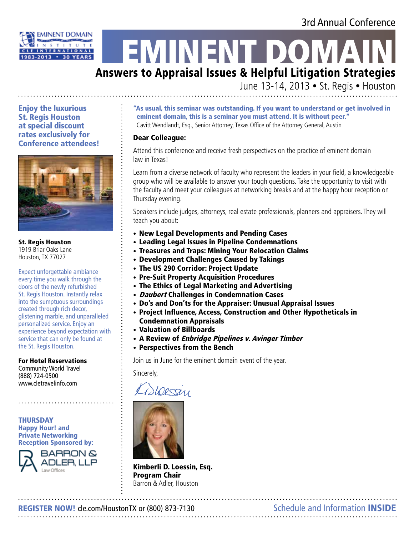# 3rd Annual Conference



# **EMINENT DOMA**

# Answers to Appraisal Issues & Helpful Litigation Strategies

June 13-14, 2013 • St. Regis • Houston

Enjoy the luxurious St. Regis Houston at special discount rates exclusively for Conference attendees!



St. Regis Houston 1919 Briar Oaks Lane Houston, TX 77027

Expect unforgettable ambiance every time you walk through the doors of the newly refurbished St. Regis Houston. Instantly relax into the sumptuous surroundings created through rich decor, glistening marble, and unparalleled personalized service. Enjoy an experience beyond expectation with service that can only be found at the St. Regis Houston.

#### For Hotel Reservations

Community World Travel (888) 724-0500 www.cletravelinfo.com

THURSDAY Happy Hour! and Private Networking Reception Sponsored by:



"As usual, this seminar was outstanding. If you want to understand or get involved in eminent domain, this is a seminar you must attend. It is without peer." Cavitt Wendlandt, Esq., Senior Attorney, Texas Office of the Attorney General, Austin

#### Dear Colleague:

Attend this conference and receive fresh perspectives on the practice of eminent domain law in Texas!

Learn from a diverse network of faculty who represent the leaders in your field, a knowledgeable group who will be available to answer your tough questions. Take the opportunity to visit with the faculty and meet your colleagues at networking breaks and at the happy hour reception on Thursday evening.

Speakers include judges, attorneys, real estate professionals, planners and appraisers. They will teach you about:

- New Legal Developments and Pending Cases
- Leading Legal Issues in Pipeline Condemnations
- Treasures and Traps: Mining Your Relocation Claims
- Development Challenges Caused by Takings
- The US 290 Corridor: Project Update
- Pre-Suit Property Acquisition Procedures
- The Ethics of Legal Marketing and Advertising
- *Daubert* Challenges in Condemnation Cases
- Do's and Don'ts for the Appraiser: Unusual Appraisal Issues
- Project Influence, Access, Construction and Other Hypotheticals in Condemnation Appraisals
- Valuation of Billboards
- A Review of *Enbridge Pipelines v. Avinger Timber*
- Perspectives from the Bench

Join us in June for the eminent domain event of the year.

Sincerely,

Ciscocain



Kimberli D. Loessin, Esq. Program Chair Barron & Adler, Houston

REGISTER NOW! cle.com/HoustonTX or (800) 873-7130 Schedule and Information INSIDE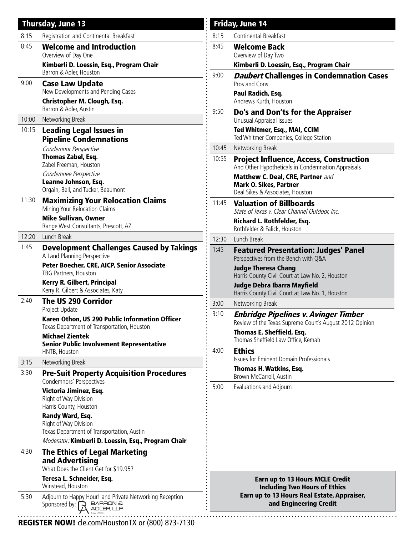|       | <b>Thursday, June 13</b>                                                                                                                                                   |       | <b>Friday, June 14</b>                                                                                                                                                                                         |
|-------|----------------------------------------------------------------------------------------------------------------------------------------------------------------------------|-------|----------------------------------------------------------------------------------------------------------------------------------------------------------------------------------------------------------------|
| 8:15  | Registration and Continental Breakfast                                                                                                                                     | 8:15  | Continental Breakfast                                                                                                                                                                                          |
| 8:45  | <b>Welcome and Introduction</b><br>Overview of Day One                                                                                                                     | 8:45  | <b>Welcome Back</b><br>Overview of Day Two                                                                                                                                                                     |
|       | Kimberli D. Loessin, Esq., Program Chair<br>Barron & Adler, Houston                                                                                                        |       | Kimberli D. Loessin, Esq., Program Chair                                                                                                                                                                       |
| 9:00  | <b>Case Law Update</b><br>New Developments and Pending Cases<br><b>Christopher M. Clough, Esq.</b><br>Barron & Adler, Austin                                               | 9:00  | <b>Daubert Challenges in Condemnation Cases</b><br>Pros and Cons<br>Paul Radich, Esq.<br>Andrews Kurth, Houston                                                                                                |
| 10:00 | Networking Break                                                                                                                                                           | 9:50  | Do's and Don'ts for the Appraiser<br>Unusual Appraisal Issues                                                                                                                                                  |
| 10:15 | <b>Leading Legal Issues in</b><br><b>Pipeline Condemnations</b>                                                                                                            |       | Ted Whitmer, Esq., MAI, CCIM<br>Ted Whitmer Companies, College Station                                                                                                                                         |
|       | Condemnor Perspective                                                                                                                                                      | 10:45 | Networking Break                                                                                                                                                                                               |
|       | Thomas Zabel, Esq.<br>Zabel Freeman, Houston<br>Condemnee Perspective                                                                                                      | 10:55 | <b>Project Influence, Access, Construction</b><br>And Other Hypotheticals in Condemnation Appraisals<br>Matthew C. Deal, CRE, Partner and<br><b>Mark O. Sikes, Partner</b><br>Deal Sikes & Associates, Houston |
|       | Leanne Johnson, Esq.<br>Orgain, Bell, and Tucker, Beaumont                                                                                                                 |       |                                                                                                                                                                                                                |
| 11:30 | <b>Maximizing Your Relocation Claims</b><br>Mining Your Relocation Claims<br><b>Mike Sullivan, Owner</b><br>Range West Consultants, Prescott, AZ                           | 11:45 | <b>Valuation of Billboards</b><br>State of Texas v. Clear Channel Outdoor, Inc.<br>Richard L. Rothfelder, Esq.<br>Rothfelder & Falick, Houston                                                                 |
| 12:20 | Lunch Break                                                                                                                                                                | 12:30 | Lunch Break                                                                                                                                                                                                    |
| 1:45  | <b>Development Challenges Caused by Takings</b><br>A Land Planning Perspective                                                                                             | 1:45  | <b>Featured Presentation: Judges' Panel</b><br>Perspectives from the Bench with Q&A                                                                                                                            |
|       | Peter Boecher, CRE, AICP, Senior Associate<br>TBG Partners, Houston                                                                                                        |       | <b>Judge Theresa Chang</b><br>Harris County Civil Court at Law No. 2, Houston                                                                                                                                  |
|       | <b>Kerry R. Gilbert, Principal</b><br>Kerry R. Gilbert & Associates, Katy                                                                                                  |       | <b>Judge Debra Ibarra Mayfield</b><br>Harris County Civil Court at Law No. 1, Houston                                                                                                                          |
| 2:40  | <b>The US 290 Corridor</b><br>Project Update                                                                                                                               | 3:00  | Networking Break                                                                                                                                                                                               |
|       | Karen Othon, US 290 Public Information Officer<br>Texas Department of Transportation, Houston<br><b>Michael Zientek</b><br><b>Senior Public Involvement Representative</b> | 3:10  | <b>Enbridge Pipelines v. Avinger Timber</b><br>Review of the Texas Supreme Court's August 2012 Opinion                                                                                                         |
|       |                                                                                                                                                                            | 4:00  | <b>Thomas E. Sheffield, Esq.</b><br>Thomas Sheffield Law Office, Kemah<br><b>Ethics</b>                                                                                                                        |
| 3:15  | HNTB, Houston<br>Networking Break                                                                                                                                          |       | <b>Issues for Eminent Domain Professionals</b>                                                                                                                                                                 |
| 3:30  | <b>Pre-Suit Property Acquisition Procedures</b><br>Condemnors' Perspectives                                                                                                |       | Thomas H. Watkins, Esq.<br>Brown McCarroll, Austin                                                                                                                                                             |
|       | Victoria Jiminez, Esq.<br>Right of Way Division<br>Harris County, Houston                                                                                                  | 5:00  | Evaluations and Adjourn                                                                                                                                                                                        |
|       | Randy Ward, Esq.<br>Right of Way Division<br>Texas Department of Transportation, Austin<br>Moderator: Kimberli D. Loessin, Esq., Program Chair                             |       |                                                                                                                                                                                                                |
| 4:30  | <b>The Ethics of Legal Marketing</b><br>and Advertising<br>What Does the Client Get for \$19.95?                                                                           |       |                                                                                                                                                                                                                |
|       | Teresa L. Schneider, Esq.<br>Winstead, Houston                                                                                                                             |       | <b>Earn up to 13 Hours MCLE Credit</b><br><b>Including Two Hours of Ethics</b><br>Earn up to 13 Hours Real Estate, Appraiser,<br>and Engineering Credit                                                        |
| 5:30  | Adjourn to Happy Hour! and Private Networking Reception<br>Sponsored by: $\mathbb{R}$ BARRON &                                                                             |       |                                                                                                                                                                                                                |
|       |                                                                                                                                                                            |       |                                                                                                                                                                                                                |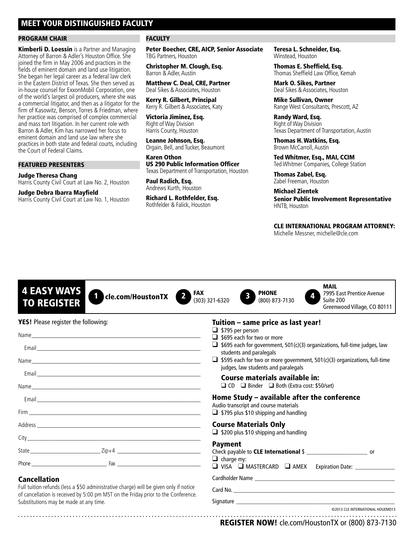#### MEET YOUR DISTINGUISHED FACULTY

#### Program Chair

**Kimberli D. Loessin** is a Partner and Managing Attorney of Barron & Adler's Houston Office. She joined the firm in May 2006 and practices in the fields of eminent domain and land use litigation. She began her legal career as a federal law clerk in the Eastern District of Texas. She then served as in-house counsel for ExxonMobil Corporation, one of the world's largest oil producers, where she was a commercial litigator, and then as a litigator for the firm of Kasowitz, Benson, Torres & Friedman, where her practice was comprised of complex commercial and mass tort litigation. In her current role with Barron & Adler, Kim has narrowed her focus to eminent domain and land use law where she practices in both state and federal courts, including the Court of Federal Claims.

#### Featured Presenters

Judge Theresa Chang Harris County Civil Court at Law No. 2, Houston

Judge Debra Ibarra Mayfield Harris County Civil Court at Law No. 1, Houston

#### **FACULTY**

Peter Boecher, CRE, AICP, Senior Associate TBG Partners, Houston

Christopher M. Clough, Esq. Barron & Adler, Austin

Matthew C. Deal, CRE, Partner Deal Sikes & Associates, Houston

Kerry R. Gilbert, Principal Kerry R. Gilbert & Associates, Katy

Victoria Jiminez, Esq. Right of Way Division Harris County, Houston

Leanne Johnson, Esq. Orgain, Bell, and Tucker, Beaumont

Karen Othon US 290 Public Information Officer Texas Department of Transportation, Houston

Paul Radich, Esq. Andrews Kurth, Houston

Richard L. Rothfelder, Esq. Rothfelder & Falick, Houston

Teresa L. Schneider, Esq. Winstead, Houston

Thomas E. Sheffield, Esq. Thomas Sheffield Law Office, Kemah

Mark O. Sikes, Partner Deal Sikes & Associates, Houston

Mike Sullivan, Owner Range West Consultants, Prescott, AZ

Randy Ward, Esq. Right of Way Division Texas Department of Transportation, Austin

Thomas H. Watkins, Esq. Brown McCarroll, Austin

Ted Whitmer, Esq., MAI, CCIM Ted Whitmer Companies, College Station

Thomas Zabel, Esq. Zabel Freeman, Houston

Michael Zientek Senior Public Involvement Representative HNTB, Houston

CLE INTERNATIONAL Program Attorney:

Michelle Messner, michelle@cle.com

| <b>4 EASY WAYS</b><br><b>FAX</b><br>cle.com/HoustonTX<br><b>TO REGISTER</b>                                                                                                | <b>MAIL</b><br><b>PHONE</b><br>7995 East Prentice Avenue<br>(303) 321-6320<br>(800) 873-7130<br>Suite 200<br>Greenwood Village, CO 80111                                                                                                                                                              |  |  |
|----------------------------------------------------------------------------------------------------------------------------------------------------------------------------|-------------------------------------------------------------------------------------------------------------------------------------------------------------------------------------------------------------------------------------------------------------------------------------------------------|--|--|
| <b>YES!</b> Please register the following:                                                                                                                                 | Tuition – same price as last year!<br>$\Box$ \$795 per person<br>$\Box$ \$695 each for two or more<br>$\Box$ \$695 each for government, 501(c)(3) organizations, full-time judges, law<br>students and paralegals<br>$\Box$ \$595 each for two or more government, 501(c)(3) organizations, full-time |  |  |
|                                                                                                                                                                            |                                                                                                                                                                                                                                                                                                       |  |  |
|                                                                                                                                                                            |                                                                                                                                                                                                                                                                                                       |  |  |
|                                                                                                                                                                            |                                                                                                                                                                                                                                                                                                       |  |  |
|                                                                                                                                                                            | judges, law students and paralegals<br>Course materials available in:                                                                                                                                                                                                                                 |  |  |
|                                                                                                                                                                            | □ CD □ Binder □ Both (Extra cost: \$50/set)                                                                                                                                                                                                                                                           |  |  |
|                                                                                                                                                                            | Home Study - available after the conference                                                                                                                                                                                                                                                           |  |  |
|                                                                                                                                                                            | Audio transcript and course materials<br>$\Box$ \$795 plus \$10 shipping and handling                                                                                                                                                                                                                 |  |  |
|                                                                                                                                                                            | <b>Course Materials Only</b>                                                                                                                                                                                                                                                                          |  |  |
|                                                                                                                                                                            | $\Box$ \$200 plus \$10 shipping and handling                                                                                                                                                                                                                                                          |  |  |
|                                                                                                                                                                            | <b>Payment</b><br>Check payable to CLE International \$ _______________________________ or                                                                                                                                                                                                            |  |  |
|                                                                                                                                                                            | $\Box$ charge my:                                                                                                                                                                                                                                                                                     |  |  |
| <b>Cancellation</b>                                                                                                                                                        |                                                                                                                                                                                                                                                                                                       |  |  |
| Full tuition refunds (less a \$50 administrative charge) will be given only if notice<br>of cancellation is received by 5:00 pm MST on the Friday prior to the Conference. |                                                                                                                                                                                                                                                                                                       |  |  |
| Substitutions may be made at any time.                                                                                                                                     | ©2013 CLE INTERNATIONAL HOUEMD13                                                                                                                                                                                                                                                                      |  |  |

REGISTER NOW! cle.com/HoustonTX or (800) 873-7130